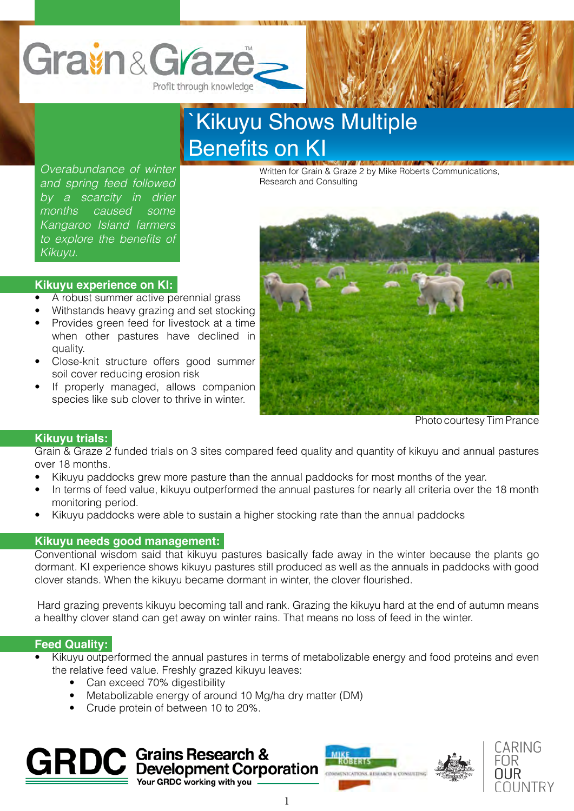

# `Kikuyu Shows Multiple Benefits on KI

*Overabundance of winter and spring feed followed by a scarcity in drier months caused some Kangaroo Island farmers*  to explore the benefits of *Kikuyu.*

Written for Grain & Graze 2 by Mike Roberts Communications, Research and Consulting



- A robust summer active perennial grass
- Withstands heavy grazing and set stocking
- Provides green feed for livestock at a time when other pastures have declined in quality.
- Close-knit structure offers good summer soil cover reducing erosion risk
- If properly managed, allows companion species like sub clover to thrive in winter.



Photo courtesy Tim Prance

# **Kikuyu trials:**

Grain & Graze 2 funded trials on 3 sites compared feed quality and quantity of kikuyu and annual pastures over 18 months.

- Kikuyu paddocks grew more pasture than the annual paddocks for most months of the year.
- In terms of feed value, kikuyu outperformed the annual pastures for nearly all criteria over the 18 month monitoring period.
- Kikuyu paddocks were able to sustain a higher stocking rate than the annual paddocks

## **Kikuyu needs good management:**

Conventional wisdom said that kikuyu pastures basically fade away in the winter because the plants go dormant. KI experience shows kikuyu pastures still produced as well as the annuals in paddocks with good clover stands. When the kikuyu became dormant in winter, the clover flourished.

Hard grazing prevents kikuyu becoming tall and rank. Grazing the kikuyu hard at the end of autumn means a healthy clover stand can get away on winter rains. That means no loss of feed in the winter.

## **Feed Quality:**

- Kikuyu outperformed the annual pastures in terms of metabolizable energy and food proteins and even the relative feed value. Freshly grazed kikuyu leaves:
	- Can exceed 70% digestibility
	- Metabolizable energy of around 10 Mg/ha dry matter (DM)
	- Crude protein of between 10 to 20%.